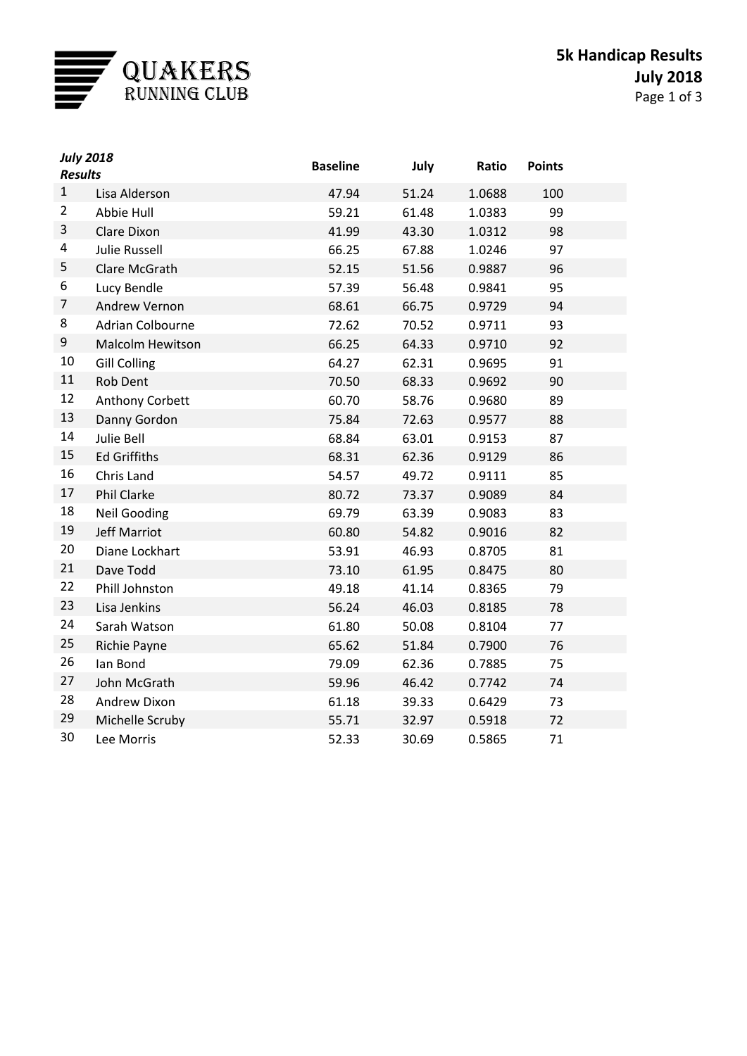

| <b>July 2018</b><br><b>Results</b> |                         | <b>Baseline</b> | July  | Ratio  | <b>Points</b> |  |
|------------------------------------|-------------------------|-----------------|-------|--------|---------------|--|
| $\mathbf{1}$                       | Lisa Alderson           | 47.94           | 51.24 | 1.0688 | 100           |  |
| $\overline{2}$                     | Abbie Hull              | 59.21           | 61.48 | 1.0383 | 99            |  |
| 3                                  | Clare Dixon             | 41.99           | 43.30 | 1.0312 | 98            |  |
| 4                                  | <b>Julie Russell</b>    | 66.25           | 67.88 | 1.0246 | 97            |  |
| 5                                  | Clare McGrath           | 52.15           | 51.56 | 0.9887 | 96            |  |
| 6                                  | Lucy Bendle             | 57.39           | 56.48 | 0.9841 | 95            |  |
| 7                                  | Andrew Vernon           | 68.61           | 66.75 | 0.9729 | 94            |  |
| 8                                  | Adrian Colbourne        | 72.62           | 70.52 | 0.9711 | 93            |  |
| 9                                  | <b>Malcolm Hewitson</b> | 66.25           | 64.33 | 0.9710 | 92            |  |
| $10\,$                             | <b>Gill Colling</b>     | 64.27           | 62.31 | 0.9695 | 91            |  |
| 11                                 | Rob Dent                | 70.50           | 68.33 | 0.9692 | 90            |  |
| 12                                 | Anthony Corbett         | 60.70           | 58.76 | 0.9680 | 89            |  |
| 13                                 | Danny Gordon            | 75.84           | 72.63 | 0.9577 | 88            |  |
| 14                                 | Julie Bell              | 68.84           | 63.01 | 0.9153 | 87            |  |
| 15                                 | <b>Ed Griffiths</b>     | 68.31           | 62.36 | 0.9129 | 86            |  |
| 16                                 | Chris Land              | 54.57           | 49.72 | 0.9111 | 85            |  |
| 17                                 | Phil Clarke             | 80.72           | 73.37 | 0.9089 | 84            |  |
| 18                                 | <b>Neil Gooding</b>     | 69.79           | 63.39 | 0.9083 | 83            |  |
| 19                                 | Jeff Marriot            | 60.80           | 54.82 | 0.9016 | 82            |  |
| 20                                 | Diane Lockhart          | 53.91           | 46.93 | 0.8705 | 81            |  |
| 21                                 | Dave Todd               | 73.10           | 61.95 | 0.8475 | 80            |  |
| 22                                 | Phill Johnston          | 49.18           | 41.14 | 0.8365 | 79            |  |
| 23                                 | Lisa Jenkins            | 56.24           | 46.03 | 0.8185 | 78            |  |
| 24                                 | Sarah Watson            | 61.80           | 50.08 | 0.8104 | 77            |  |
| 25                                 | Richie Payne            | 65.62           | 51.84 | 0.7900 | 76            |  |
| 26                                 | lan Bond                | 79.09           | 62.36 | 0.7885 | 75            |  |
| 27                                 | John McGrath            | 59.96           | 46.42 | 0.7742 | 74            |  |
| 28                                 | Andrew Dixon            | 61.18           | 39.33 | 0.6429 | 73            |  |
| 29                                 | Michelle Scruby         | 55.71           | 32.97 | 0.5918 | 72            |  |
| 30                                 | Lee Morris              | 52.33           | 30.69 | 0.5865 | 71            |  |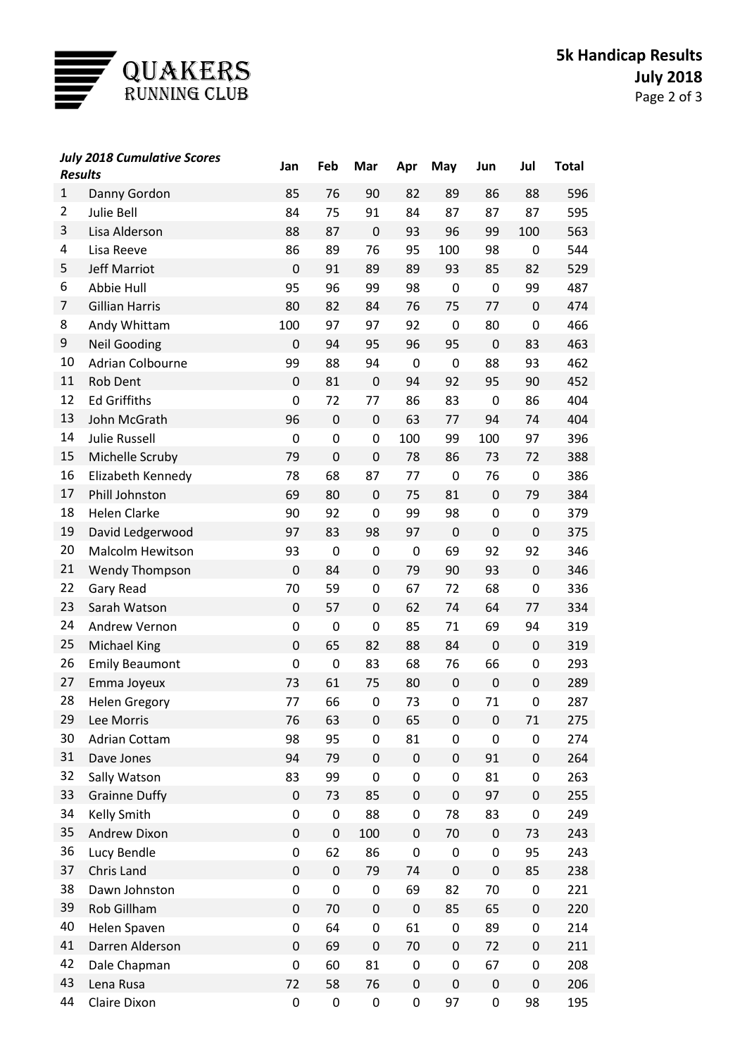

| <b>Results</b> | <b>July 2018 Cumulative Scores</b> | Jan              | Feb              | Mar       | Apr         | May         | Jun         | Jul         | <b>Total</b> |
|----------------|------------------------------------|------------------|------------------|-----------|-------------|-------------|-------------|-------------|--------------|
| $\mathbf{1}$   |                                    | 85               | 76               | 90        | 82          | 89          | 86          | 88          | 596          |
| $\overline{2}$ | Danny Gordon<br><b>Julie Bell</b>  | 84               | 75               | 91        | 84          | 87          | 87          | 87          | 595          |
| 3              | Lisa Alderson                      | 88               | 87               | $\pmb{0}$ | 93          | 96          | 99          | 100         | 563          |
| 4              | Lisa Reeve                         | 86               | 89               | 76        | 95          | 100         | 98          | 0           | 544          |
| 5              | <b>Jeff Marriot</b>                | $\mathbf 0$      | 91               | 89        | 89          | 93          | 85          | 82          | 529          |
| 6              | Abbie Hull                         | 95               | 96               | 99        | 98          | $\mathbf 0$ | 0           | 99          | 487          |
| 7              | <b>Gillian Harris</b>              | 80               | 82               | 84        | 76          | 75          | 77          | $\mathbf 0$ | 474          |
| 8              | Andy Whittam                       | 100              | 97               | 97        | 92          | $\mathbf 0$ | 80          | 0           | 466          |
| 9              | <b>Neil Gooding</b>                | $\mathbf 0$      | 94               | 95        | 96          | 95          | $\mathbf 0$ | 83          | 463          |
| 10             | <b>Adrian Colbourne</b>            | 99               | 88               | 94        | 0           | $\mathbf 0$ | 88          | 93          | 462          |
| 11             | Rob Dent                           | $\mathbf 0$      | 81               | $\pmb{0}$ | 94          | 92          | 95          | 90          | 452          |
| 12             | <b>Ed Griffiths</b>                | $\mathbf 0$      | 72               | 77        | 86          | 83          | 0           | 86          | 404          |
| 13             | John McGrath                       | 96               | $\boldsymbol{0}$ | 0         | 63          | 77          | 94          | 74          | 404          |
| 14             | <b>Julie Russell</b>               | $\mathbf 0$      | 0                | 0         | 100         | 99          | 100         | 97          | 396          |
| 15             | Michelle Scruby                    | 79               | $\mathbf 0$      | 0         | 78          | 86          | 73          | 72          | 388          |
| 16             | Elizabeth Kennedy                  | 78               | 68               | 87        | 77          | $\mathbf 0$ | 76          | 0           | 386          |
| 17             | Phill Johnston                     | 69               | 80               | 0         | 75          | 81          | $\mathbf 0$ | 79          | 384          |
| 18             | <b>Helen Clarke</b>                | 90               | 92               | 0         | 99          | 98          | 0           | 0           | 379          |
| 19             | David Ledgerwood                   | 97               | 83               | 98        | 97          | $\mathbf 0$ | 0           | 0           | 375          |
| 20             | <b>Malcolm Hewitson</b>            | 93               | $\mathbf 0$      | 0         | 0           | 69          | 92          | 92          | 346          |
| 21             | <b>Wendy Thompson</b>              | $\mathbf 0$      | 84               | 0         | 79          | 90          | 93          | $\pmb{0}$   | 346          |
| 22             | Gary Read                          | 70               | 59               | 0         | 67          | 72          | 68          | 0           | 336          |
| 23             | Sarah Watson                       | $\mathbf 0$      | 57               | 0         | 62          | 74          | 64          | 77          | 334          |
| 24             | Andrew Vernon                      | $\mathbf 0$      | $\mathbf 0$      | 0         | 85          | 71          | 69          | 94          | 319          |
| 25             | <b>Michael King</b>                | $\mathbf 0$      | 65               | 82        | 88          | 84          | $\mathbf 0$ | 0           | 319          |
| 26             | <b>Emily Beaumont</b>              | $\mathbf 0$      | $\mathbf 0$      | 83        | 68          | 76          | 66          | 0           | 293          |
| 27             | Emma Joyeux                        | 73               | 61               | 75        | 80          | $\pmb{0}$   | 0           | 0           | 289          |
| 28             | <b>Helen Gregory</b>               | 77               | 66               | 0         | 73          | 0           | 71          | 0           | 287          |
| 29             | Lee Morris                         | 76               | 63               | 0         | 65          | 0           | 0           | 71          | 275          |
| 30             | <b>Adrian Cottam</b>               | 98               | 95               | 0         | 81          | 0           | 0           | 0           | 274          |
| 31             | Dave Jones                         | 94               | 79               | 0         | $\pmb{0}$   | $\pmb{0}$   | 91          | 0           | 264          |
| 32             | Sally Watson                       | 83               | 99               | 0         | 0           | 0           | 81          | 0           | 263          |
| 33             | <b>Grainne Duffy</b>               | $\pmb{0}$        | 73               | 85        | 0           | 0           | 97          | 0           | 255          |
| 34             | <b>Kelly Smith</b>                 | 0                | 0                | 88        | 0           | 78          | 83          | 0           | 249          |
| 35             | Andrew Dixon                       | $\boldsymbol{0}$ | 0                | 100       | 0           | 70          | 0           | 73          | 243          |
| 36             | Lucy Bendle                        | 0                | 62               | 86        | 0           | $\pmb{0}$   | 0           | 95          | 243          |
| 37             | Chris Land                         | $\boldsymbol{0}$ | $\pmb{0}$        | 79        | 74          | $\pmb{0}$   | 0           | 85          | 238          |
| 38             | Dawn Johnston                      | 0                | 0                | 0         | 69          | 82          | 70          | 0           | 221          |
| 39             | Rob Gillham                        | $\pmb{0}$        | 70               | $\pmb{0}$ | $\mathbf 0$ | 85          | 65          | 0           | 220          |
| 40             | Helen Spaven                       | 0                | 64               | 0         | 61          | $\pmb{0}$   | 89          | 0           | 214          |
| 41             | Darren Alderson                    | $\pmb{0}$        | 69               | 0         | 70          | $\pmb{0}$   | 72          | 0           | 211          |
| 42             | Dale Chapman                       | $\boldsymbol{0}$ | 60               | 81        | 0           | 0           | 67          | 0           | 208          |
| 43             | Lena Rusa                          | 72               | 58               | 76        | $\pmb{0}$   | $\pmb{0}$   | $\pmb{0}$   | 0           | 206          |
| 44             | Claire Dixon                       | $\pmb{0}$        | 0                | 0         | 0           | 97          | 0           | 98          | 195          |